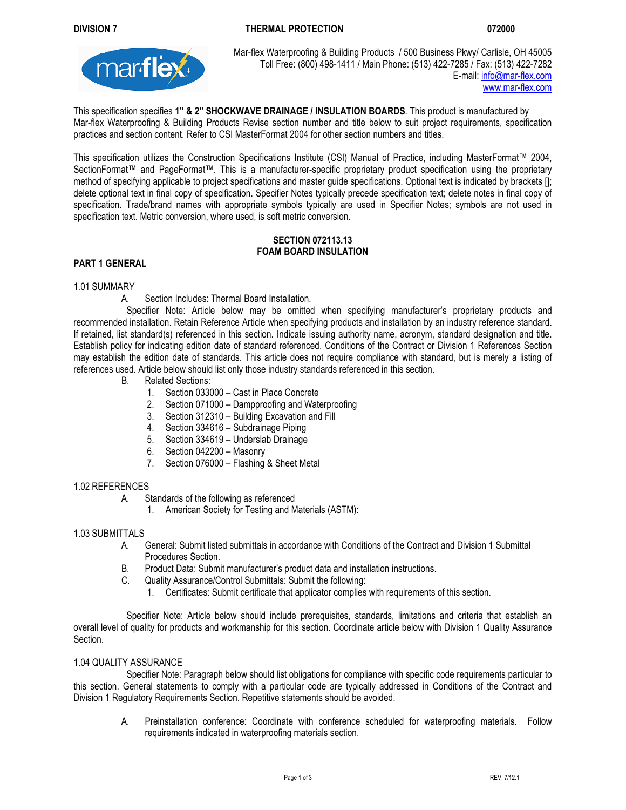# **DIVISION 7 THERMAL PROTECTION 072000**



Mar-flex Waterproofing & Building Products / 500 Business Pkwy/ Carlisle, OH 45005 Toll Free: (800) 498-1411 / Main Phone: (513) 422-7285 / Fax: (513) 422-7282<br>F-mail: info@mar-fley.com E-mail: info@mar-flex.com www.mar-flex.com

This specification specifies **1" & 2" SHOCKWAVE DRAINAGE / INSULATION BOARDS**. This product is manufactured by Mar-flex Waterproofing & Building Products Revise section number and title below to suit project requirements, specification practices and section content. Refer to CSI MasterFormat 2004 for other section numbers and titles.

This specification utilizes the Construction Specifications Institute (CSI) Manual of Practice, including MasterFormat™ 2004, SectionFormat™ and PageFormat™. This is a manufacturer-specific proprietary product specification using the proprietary method of specifying applicable to project specifications and master guide specifications. Optional text is indicated by brackets []; delete optional text in final copy of specification. Specifier Notes typically precede specification text; delete notes in final copy of specification. Trade/brand names with appropriate symbols typically are used in Specifier Notes; symbols are not used in specification text. Metric conversion, where used, is soft metric conversion.

## **SECTION 072113.13 FOAM BOARD INSULATION**

## **PART 1 GENERAL**

## 1.01 SUMMARY

A. Section Includes: Thermal Board Installation.

Specifier Note: Article below may be omitted when specifying manufacturer's proprietary products and recommended installation. Retain Reference Article when specifying products and installation by an industry reference standard. If retained, list standard(s) referenced in this section. Indicate issuing authority name, acronym, standard designation and title. Establish policy for indicating edition date of standard referenced. Conditions of the Contract or Division 1 References Section may establish the edition date of standards. This article does not require compliance with standard, but is merely a listing of references used. Article below should list only those industry standards referenced in this section.

- B. Related Sections:
	- 1. Section 033000 Cast in Place Concrete
	- 2. Section 071000 Dampproofing and Waterproofing
	- 3. Section 312310 Building Excavation and Fill
	- 4. Section 334616 Subdrainage Piping
	- 5. Section 334619 Underslab Drainage
	- 6. Section 042200 Masonry
	- 7. Section 076000 Flashing & Sheet Metal

#### 1.02 REFERENCES

- A. Standards of the following as referenced
	- 1. American Society for Testing and Materials (ASTM):

#### 1.03 SUBMITTALS

- A. General: Submit listed submittals in accordance with Conditions of the Contract and Division 1 Submittal Procedures Section.
- B. Product Data: Submit manufacturer's product data and installation instructions.
- C. Quality Assurance/Control Submittals: Submit the following:
	- 1. Certificates: Submit certificate that applicator complies with requirements of this section.

Specifier Note: Article below should include prerequisites, standards, limitations and criteria that establish an overall level of quality for products and workmanship for this section. Coordinate article below with Division 1 Quality Assurance Section.

#### 1.04 QUALITY ASSURANCE

Specifier Note: Paragraph below should list obligations for compliance with specific code requirements particular to this section. General statements to comply with a particular code are typically addressed in Conditions of the Contract and Division 1 Regulatory Requirements Section. Repetitive statements should be avoided.

A. Preinstallation conference: Coordinate with conference scheduled for waterproofing materials. Follow requirements indicated in waterproofing materials section.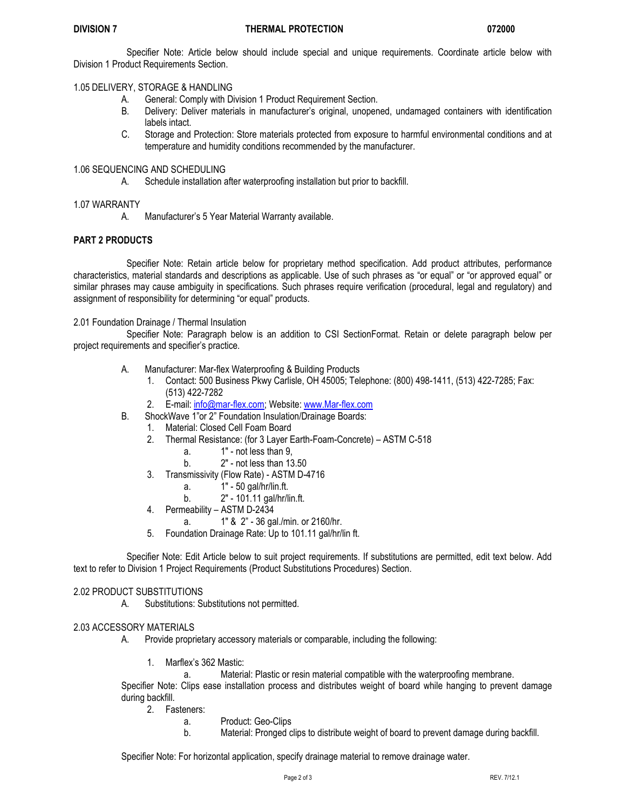Specifier Note: Article below should include special and unique requirements. Coordinate article below with Division 1 Product Requirements Section.

1.05 DELIVERY, STORAGE & HANDLING

- A. General: Comply with Division 1 Product Requirement Section.
- B. Delivery: Deliver materials in manufacturer's original, unopened, undamaged containers with identification labels intact.
- C. Storage and Protection: Store materials protected from exposure to harmful environmental conditions and at temperature and humidity conditions recommended by the manufacturer.

## 1.06 SEQUENCING AND SCHEDULING

A. Schedule installation after waterproofing installation but prior to backfill.

#### 1.07 WARRANTY

A. Manufacturer's 5 Year Material Warranty available.

#### **PART 2 PRODUCTS**

Specifier Note: Retain article below for proprietary method specification. Add product attributes, performance characteristics, material standards and descriptions as applicable. Use of such phrases as "or equal" or "or approved equal" or similar phrases may cause ambiguity in specifications. Such phrases require verification (procedural, legal and regulatory) and assignment of responsibility for determining "or equal" products.

#### 2.01 Foundation Drainage / Thermal Insulation

Specifier Note: Paragraph below is an addition to CSI SectionFormat. Retain or delete paragraph below per project requirements and specifier's practice.

- A. Manufacturer: Mar-flex Waterproofing & Building Products
	- 1. Contact: 500 Business Pkwy Carlisle, OH 45005; Telephone: (800) 498-1411, (513) 422-7285; Fax: (513) 422-7282
	- 2. E-mail: info@mar-flex.com; Website: www.Mar-flex.com
- B. ShockWave 1"or 2" Foundation Insulation/Drainage Boards:
	- 1. Material: Closed Cell Foam Board
	- 2. Thermal Resistance: (for 3 Layer Earth-Foam-Concrete) ASTM C-518
		- a. 1" not less than 9,
		- b. 2" not less than 13.50
	- 3. Transmissivity (Flow Rate) ASTM D-4716
		- a. 1" 50 gal/hr/lin.ft.
		- b. 2" 101.11 gal/hr/lin.ft.
	- 4. Permeability ASTM D-2434
		- a. 1" & 2" 36 gal./min. or 2160/hr.
	- 5. Foundation Drainage Rate: Up to 101.11 gal/hr/lin ft.

Specifier Note: Edit Article below to suit project requirements. If substitutions are permitted, edit text below. Add text to refer to Division 1 Project Requirements (Product Substitutions Procedures) Section.

## 2.02 PRODUCT SUBSTITUTIONS

A. Substitutions: Substitutions not permitted.

## 2.03 ACCESSORY MATERIALS

- A. Provide proprietary accessory materials or comparable, including the following:
	- 1. Marflex's 362 Mastic:
		- a. Material: Plastic or resin material compatible with the waterproofing membrane.

Specifier Note: Clips ease installation process and distributes weight of board while hanging to prevent damage during backfill.

- 2. Fasteners:
	- a. Product: Geo-Clips
	- b. Material: Pronged clips to distribute weight of board to prevent damage during backfill.

Specifier Note: For horizontal application, specify drainage material to remove drainage water.